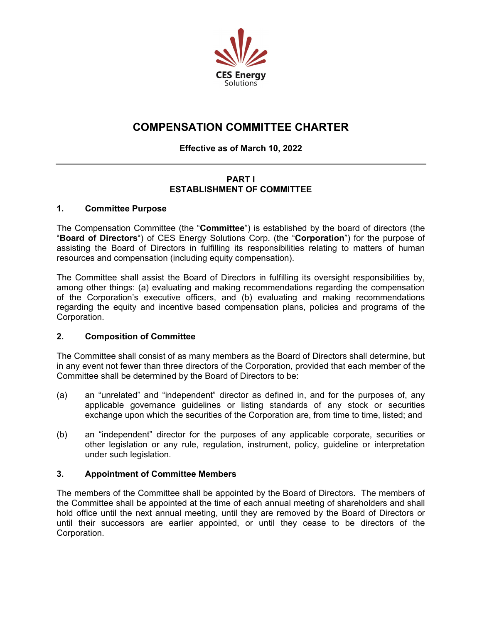

# **COMPENSATION COMMITTEE CHARTER**

# **Effective as of March 10, 2022**

# **PART I ESTABLISHMENT OF COMMITTEE**

## **1. Committee Purpose**

The Compensation Committee (the "**Committee**") is established by the board of directors (the "**Board of Directors**") of CES Energy Solutions Corp. (the "**Corporation**") for the purpose of assisting the Board of Directors in fulfilling its responsibilities relating to matters of human resources and compensation (including equity compensation).

The Committee shall assist the Board of Directors in fulfilling its oversight responsibilities by, among other things: (a) evaluating and making recommendations regarding the compensation of the Corporation's executive officers, and (b) evaluating and making recommendations regarding the equity and incentive based compensation plans, policies and programs of the Corporation.

# **2. Composition of Committee**

The Committee shall consist of as many members as the Board of Directors shall determine, but in any event not fewer than three directors of the Corporation, provided that each member of the Committee shall be determined by the Board of Directors to be:

- (a) an "unrelated" and "independent" director as defined in, and for the purposes of, any applicable governance guidelines or listing standards of any stock or securities exchange upon which the securities of the Corporation are, from time to time, listed; and
- (b) an "independent" director for the purposes of any applicable corporate, securities or other legislation or any rule, regulation, instrument, policy, guideline or interpretation under such legislation.

# **3. Appointment of Committee Members**

The members of the Committee shall be appointed by the Board of Directors. The members of the Committee shall be appointed at the time of each annual meeting of shareholders and shall hold office until the next annual meeting, until they are removed by the Board of Directors or until their successors are earlier appointed, or until they cease to be directors of the Corporation.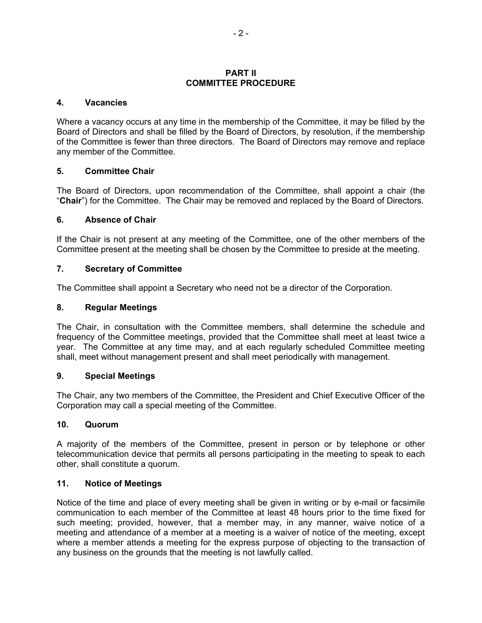#### **PART II COMMITTEE PROCEDURE**

#### **4. Vacancies**

Where a vacancy occurs at any time in the membership of the Committee, it may be filled by the Board of Directors and shall be filled by the Board of Directors, by resolution, if the membership of the Committee is fewer than three directors. The Board of Directors may remove and replace any member of the Committee.

#### **5. Committee Chair**

The Board of Directors, upon recommendation of the Committee, shall appoint a chair (the "**Chair**") for the Committee. The Chair may be removed and replaced by the Board of Directors.

#### **6. Absence of Chair**

If the Chair is not present at any meeting of the Committee, one of the other members of the Committee present at the meeting shall be chosen by the Committee to preside at the meeting.

#### **7. Secretary of Committee**

The Committee shall appoint a Secretary who need not be a director of the Corporation.

#### **8. Regular Meetings**

The Chair, in consultation with the Committee members, shall determine the schedule and frequency of the Committee meetings, provided that the Committee shall meet at least twice a year. The Committee at any time may, and at each regularly scheduled Committee meeting shall, meet without management present and shall meet periodically with management.

#### **9. Special Meetings**

The Chair, any two members of the Committee, the President and Chief Executive Officer of the Corporation may call a special meeting of the Committee.

#### **10. Quorum**

A majority of the members of the Committee, present in person or by telephone or other telecommunication device that permits all persons participating in the meeting to speak to each other, shall constitute a quorum.

#### **11. Notice of Meetings**

Notice of the time and place of every meeting shall be given in writing or by e-mail or facsimile communication to each member of the Committee at least 48 hours prior to the time fixed for such meeting; provided, however, that a member may, in any manner, waive notice of a meeting and attendance of a member at a meeting is a waiver of notice of the meeting, except where a member attends a meeting for the express purpose of objecting to the transaction of any business on the grounds that the meeting is not lawfully called.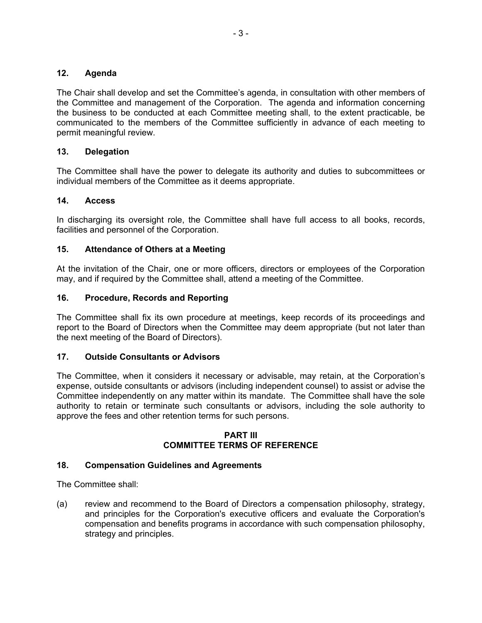## **12. Agenda**

The Chair shall develop and set the Committee's agenda, in consultation with other members of the Committee and management of the Corporation. The agenda and information concerning the business to be conducted at each Committee meeting shall, to the extent practicable, be communicated to the members of the Committee sufficiently in advance of each meeting to permit meaningful review.

# **13. Delegation**

The Committee shall have the power to delegate its authority and duties to subcommittees or individual members of the Committee as it deems appropriate.

## **14. Access**

In discharging its oversight role, the Committee shall have full access to all books, records, facilities and personnel of the Corporation.

## **15. Attendance of Others at a Meeting**

At the invitation of the Chair, one or more officers, directors or employees of the Corporation may, and if required by the Committee shall, attend a meeting of the Committee.

## **16. Procedure, Records and Reporting**

The Committee shall fix its own procedure at meetings, keep records of its proceedings and report to the Board of Directors when the Committee may deem appropriate (but not later than the next meeting of the Board of Directors).

## **17. Outside Consultants or Advisors**

The Committee, when it considers it necessary or advisable, may retain, at the Corporation's expense, outside consultants or advisors (including independent counsel) to assist or advise the Committee independently on any matter within its mandate. The Committee shall have the sole authority to retain or terminate such consultants or advisors, including the sole authority to approve the fees and other retention terms for such persons.

#### **PART III COMMITTEE TERMS OF REFERENCE**

#### **18. Compensation Guidelines and Agreements**

The Committee shall:

(a) review and recommend to the Board of Directors a compensation philosophy, strategy, and principles for the Corporation's executive officers and evaluate the Corporation's compensation and benefits programs in accordance with such compensation philosophy, strategy and principles.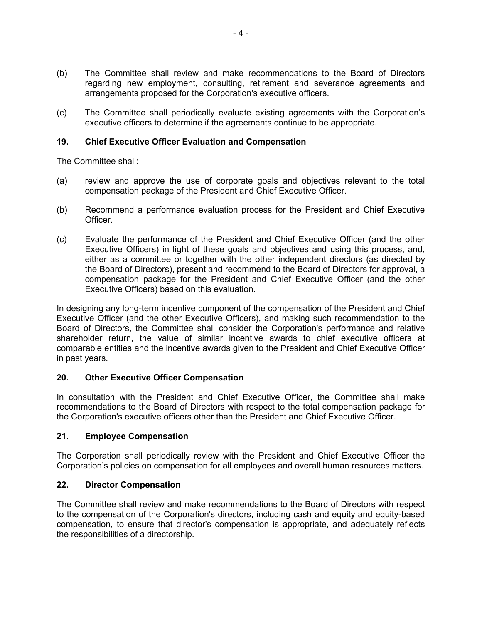- (b) The Committee shall review and make recommendations to the Board of Directors regarding new employment, consulting, retirement and severance agreements and arrangements proposed for the Corporation's executive officers.
- (c) The Committee shall periodically evaluate existing agreements with the Corporation's executive officers to determine if the agreements continue to be appropriate.

# **19. Chief Executive Officer Evaluation and Compensation**

The Committee shall:

- (a) review and approve the use of corporate goals and objectives relevant to the total compensation package of the President and Chief Executive Officer.
- (b) Recommend a performance evaluation process for the President and Chief Executive Officer.
- (c) Evaluate the performance of the President and Chief Executive Officer (and the other Executive Officers) in light of these goals and objectives and using this process, and, either as a committee or together with the other independent directors (as directed by the Board of Directors), present and recommend to the Board of Directors for approval, a compensation package for the President and Chief Executive Officer (and the other Executive Officers) based on this evaluation.

In designing any long-term incentive component of the compensation of the President and Chief Executive Officer (and the other Executive Officers), and making such recommendation to the Board of Directors, the Committee shall consider the Corporation's performance and relative shareholder return, the value of similar incentive awards to chief executive officers at comparable entities and the incentive awards given to the President and Chief Executive Officer in past years.

# **20. Other Executive Officer Compensation**

In consultation with the President and Chief Executive Officer, the Committee shall make recommendations to the Board of Directors with respect to the total compensation package for the Corporation's executive officers other than the President and Chief Executive Officer.

# **21. Employee Compensation**

The Corporation shall periodically review with the President and Chief Executive Officer the Corporation's policies on compensation for all employees and overall human resources matters.

# **22. Director Compensation**

The Committee shall review and make recommendations to the Board of Directors with respect to the compensation of the Corporation's directors, including cash and equity and equity-based compensation, to ensure that director's compensation is appropriate, and adequately reflects the responsibilities of a directorship.